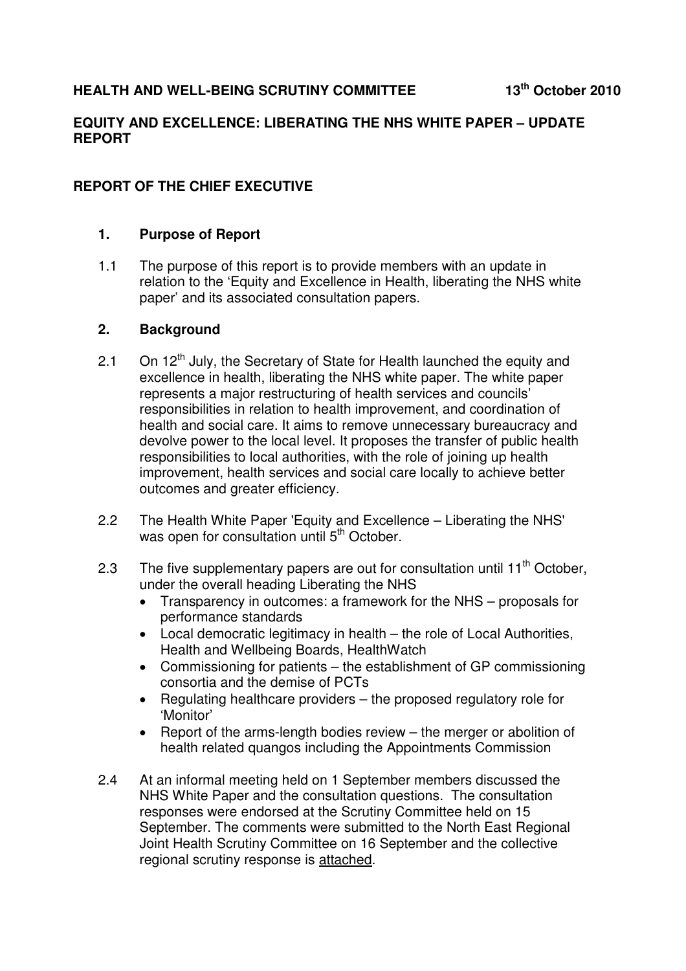## **EQUITY AND EXCELLENCE: LIBERATING THE NHS WHITE PAPER – UPDATE REPORT**

# **REPORT OF THE CHIEF EXECUTIVE**

## **1. Purpose of Report**

1.1 The purpose of this report is to provide members with an update in relation to the 'Equity and Excellence in Health, liberating the NHS white paper' and its associated consultation papers.

#### **2. Background**

- 2.1 On  $12<sup>th</sup>$  July, the Secretary of State for Health launched the equity and excellence in health, liberating the NHS white paper. The white paper represents a major restructuring of health services and councils' responsibilities in relation to health improvement, and coordination of health and social care. It aims to remove unnecessary bureaucracy and devolve power to the local level. It proposes the transfer of public health responsibilities to local authorities, with the role of joining up health improvement, health services and social care locally to achieve better outcomes and greater efficiency.
- 2.2 The Health White Paper 'Equity and Excellence Liberating the NHS' was open for consultation until 5<sup>th</sup> October.
- 2.3 The five supplementary papers are out for consultation until  $11<sup>th</sup>$  October, under the overall heading Liberating the NHS
	- Transparency in outcomes: a framework for the NHS proposals for performance standards
	- Local democratic legitimacy in health the role of Local Authorities, Health and Wellbeing Boards, HealthWatch
	- Commissioning for patients the establishment of GP commissioning consortia and the demise of PCTs
	- Regulating healthcare providers the proposed regulatory role for 'Monitor'
	- Report of the arms-length bodies review the merger or abolition of health related quangos including the Appointments Commission
- 2.4 At an informal meeting held on 1 September members discussed the NHS White Paper and the consultation questions. The consultation responses were endorsed at the Scrutiny Committee held on 15 September. The comments were submitted to the North East Regional Joint Health Scrutiny Committee on 16 September and the collective regional scrutiny response is attached.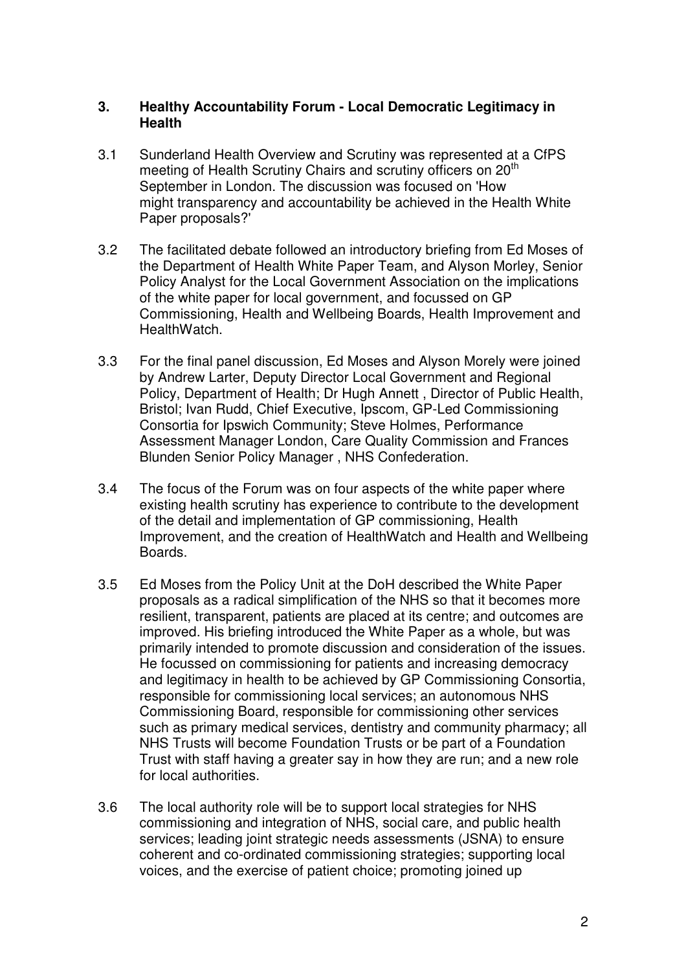## **3. Healthy Accountability Forum - Local Democratic Legitimacy in Health**

- 3.1 Sunderland Health Overview and Scrutiny was represented at a CfPS meeting of Health Scrutiny Chairs and scrutiny officers on 20<sup>th</sup> September in London. The discussion was focused on 'How might transparency and accountability be achieved in the Health White Paper proposals?'
- 3.2 The facilitated debate followed an introductory briefing from Ed Moses of the Department of Health White Paper Team, and Alyson Morley, Senior Policy Analyst for the Local Government Association on the implications of the white paper for local government, and focussed on GP Commissioning, Health and Wellbeing Boards, Health Improvement and HealthWatch.
- 3.3 For the final panel discussion, Ed Moses and Alyson Morely were joined by Andrew Larter, Deputy Director Local Government and Regional Policy, Department of Health; Dr Hugh Annett , Director of Public Health, Bristol; Ivan Rudd, Chief Executive, Ipscom, GP-Led Commissioning Consortia for Ipswich Community; Steve Holmes, Performance Assessment Manager London, Care Quality Commission and Frances Blunden Senior Policy Manager , NHS Confederation.
- 3.4 The focus of the Forum was on four aspects of the white paper where existing health scrutiny has experience to contribute to the development of the detail and implementation of GP commissioning, Health Improvement, and the creation of HealthWatch and Health and Wellbeing Boards.
- 3.5 Ed Moses from the Policy Unit at the DoH described the White Paper proposals as a radical simplification of the NHS so that it becomes more resilient, transparent, patients are placed at its centre; and outcomes are improved. His briefing introduced the White Paper as a whole, but was primarily intended to promote discussion and consideration of the issues. He focussed on commissioning for patients and increasing democracy and legitimacy in health to be achieved by GP Commissioning Consortia, responsible for commissioning local services; an autonomous NHS Commissioning Board, responsible for commissioning other services such as primary medical services, dentistry and community pharmacy; all NHS Trusts will become Foundation Trusts or be part of a Foundation Trust with staff having a greater say in how they are run; and a new role for local authorities.
- 3.6 The local authority role will be to support local strategies for NHS commissioning and integration of NHS, social care, and public health services; leading joint strategic needs assessments (JSNA) to ensure coherent and co-ordinated commissioning strategies; supporting local voices, and the exercise of patient choice; promoting joined up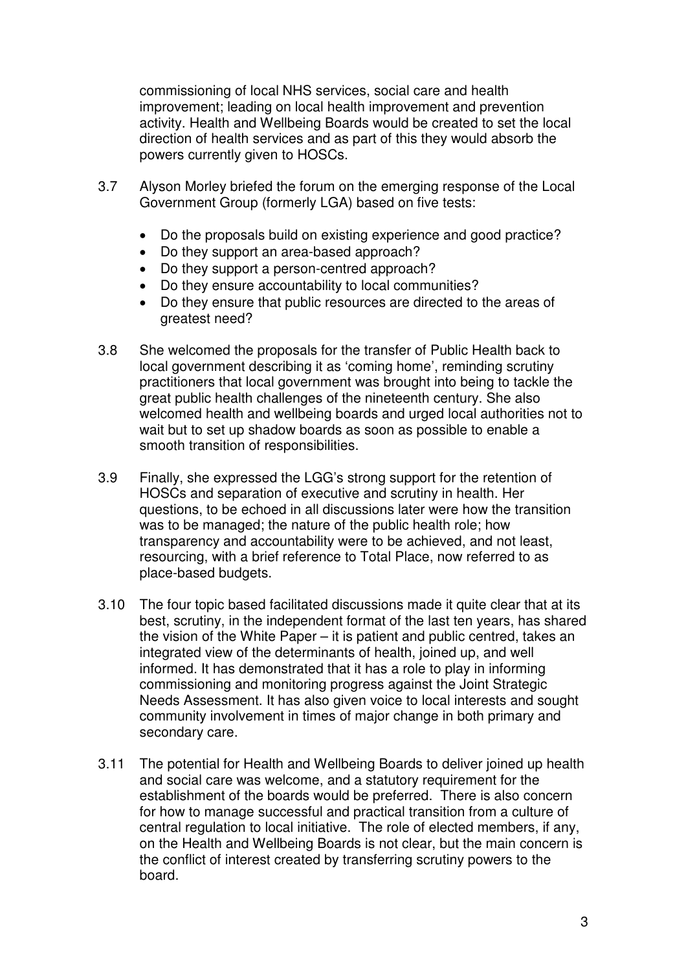commissioning of local NHS services, social care and health improvement; leading on local health improvement and prevention activity. Health and Wellbeing Boards would be created to set the local direction of health services and as part of this they would absorb the powers currently given to HOSCs.

- 3.7 Alyson Morley briefed the forum on the emerging response of the Local Government Group (formerly LGA) based on five tests:
	- Do the proposals build on existing experience and good practice?
	- Do they support an area-based approach?
	- Do they support a person-centred approach?
	- Do they ensure accountability to local communities?
	- Do they ensure that public resources are directed to the areas of greatest need?
- 3.8 She welcomed the proposals for the transfer of Public Health back to local government describing it as 'coming home', reminding scrutiny practitioners that local government was brought into being to tackle the great public health challenges of the nineteenth century. She also welcomed health and wellbeing boards and urged local authorities not to wait but to set up shadow boards as soon as possible to enable a smooth transition of responsibilities.
- 3.9 Finally, she expressed the LGG's strong support for the retention of HOSCs and separation of executive and scrutiny in health. Her questions, to be echoed in all discussions later were how the transition was to be managed; the nature of the public health role; how transparency and accountability were to be achieved, and not least, resourcing, with a brief reference to Total Place, now referred to as place-based budgets.
- 3.10 The four topic based facilitated discussions made it quite clear that at its best, scrutiny, in the independent format of the last ten years, has shared the vision of the White Paper – it is patient and public centred, takes an integrated view of the determinants of health, joined up, and well informed. It has demonstrated that it has a role to play in informing commissioning and monitoring progress against the Joint Strategic Needs Assessment. It has also given voice to local interests and sought community involvement in times of major change in both primary and secondary care.
- 3.11 The potential for Health and Wellbeing Boards to deliver joined up health and social care was welcome, and a statutory requirement for the establishment of the boards would be preferred. There is also concern for how to manage successful and practical transition from a culture of central regulation to local initiative. The role of elected members, if any, on the Health and Wellbeing Boards is not clear, but the main concern is the conflict of interest created by transferring scrutiny powers to the board.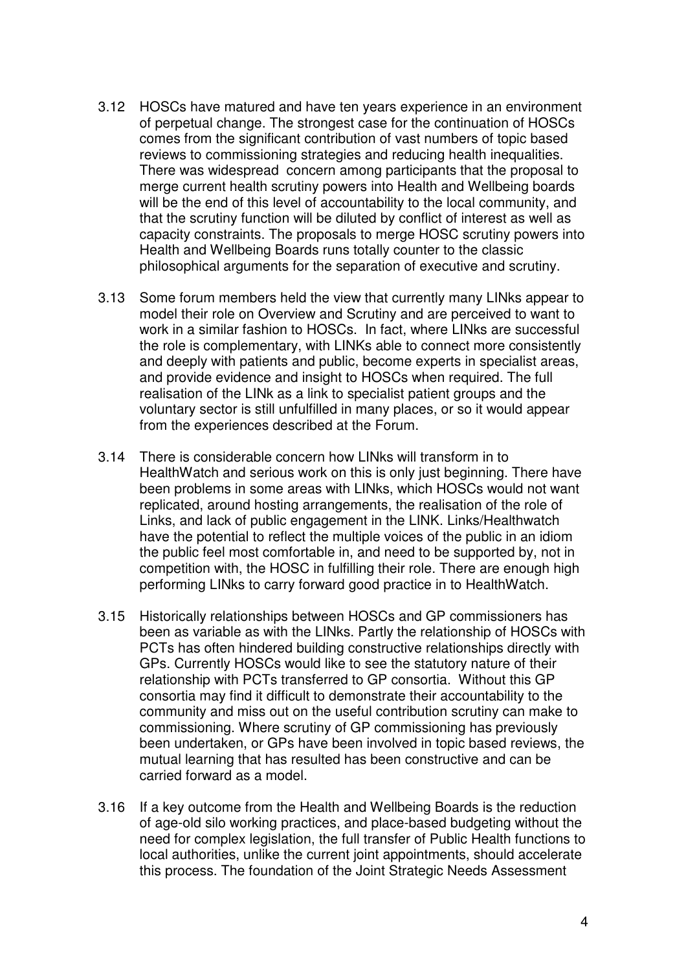- 3.12 HOSCs have matured and have ten years experience in an environment of perpetual change. The strongest case for the continuation of HOSCs comes from the significant contribution of vast numbers of topic based reviews to commissioning strategies and reducing health inequalities. There was widespread concern among participants that the proposal to merge current health scrutiny powers into Health and Wellbeing boards will be the end of this level of accountability to the local community, and that the scrutiny function will be diluted by conflict of interest as well as capacity constraints. The proposals to merge HOSC scrutiny powers into Health and Wellbeing Boards runs totally counter to the classic philosophical arguments for the separation of executive and scrutiny.
- 3.13 Some forum members held the view that currently many LINks appear to model their role on Overview and Scrutiny and are perceived to want to work in a similar fashion to HOSCs. In fact, where LINks are successful the role is complementary, with LINKs able to connect more consistently and deeply with patients and public, become experts in specialist areas, and provide evidence and insight to HOSCs when required. The full realisation of the LINk as a link to specialist patient groups and the voluntary sector is still unfulfilled in many places, or so it would appear from the experiences described at the Forum.
- 3.14 There is considerable concern how LINks will transform in to HealthWatch and serious work on this is only just beginning. There have been problems in some areas with LINks, which HOSCs would not want replicated, around hosting arrangements, the realisation of the role of Links, and lack of public engagement in the LINK. Links/Healthwatch have the potential to reflect the multiple voices of the public in an idiom the public feel most comfortable in, and need to be supported by, not in competition with, the HOSC in fulfilling their role. There are enough high performing LINks to carry forward good practice in to HealthWatch.
- 3.15 Historically relationships between HOSCs and GP commissioners has been as variable as with the LINks. Partly the relationship of HOSCs with PCTs has often hindered building constructive relationships directly with GPs. Currently HOSCs would like to see the statutory nature of their relationship with PCTs transferred to GP consortia. Without this GP consortia may find it difficult to demonstrate their accountability to the community and miss out on the useful contribution scrutiny can make to commissioning. Where scrutiny of GP commissioning has previously been undertaken, or GPs have been involved in topic based reviews, the mutual learning that has resulted has been constructive and can be carried forward as a model.
- 3.16 If a key outcome from the Health and Wellbeing Boards is the reduction of age-old silo working practices, and place-based budgeting without the need for complex legislation, the full transfer of Public Health functions to local authorities, unlike the current joint appointments, should accelerate this process. The foundation of the Joint Strategic Needs Assessment